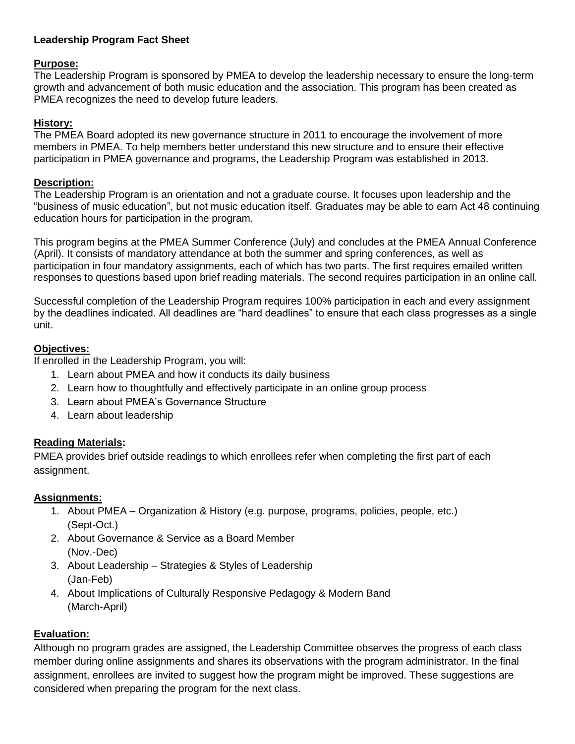## **Leadership Program Fact Sheet**

#### **Purpose:**

The Leadership Program is sponsored by PMEA to develop the leadership necessary to ensure the long-term growth and advancement of both music education and the association. This program has been created as PMEA recognizes the need to develop future leaders.

#### **History:**

The PMEA Board adopted its new governance structure in 2011 to encourage the involvement of more members in PMEA. To help members better understand this new structure and to ensure their effective participation in PMEA governance and programs, the Leadership Program was established in 2013.

#### **Description:**

The Leadership Program is an orientation and not a graduate course. It focuses upon leadership and the "business of music education", but not music education itself. Graduates may be able to earn Act 48 continuing education hours for participation in the program.

This program begins at the PMEA Summer Conference (July) and concludes at the PMEA Annual Conference (April). It consists of mandatory attendance at both the summer and spring conferences, as well as participation in four mandatory assignments, each of which has two parts. The first requires emailed written responses to questions based upon brief reading materials. The second requires participation in an online call.

Successful completion of the Leadership Program requires 100% participation in each and every assignment by the deadlines indicated. All deadlines are "hard deadlines" to ensure that each class progresses as a single unit.

#### **Objectives:**

If enrolled in the Leadership Program, you will:

- 1. Learn about PMEA and how it conducts its daily business
- 2. Learn how to thoughtfully and effectively participate in an online group process
- 3. Learn about PMEA's Governance Structure
- 4. Learn about leadership

#### **Reading Materials:**

PMEA provides brief outside readings to which enrollees refer when completing the first part of each assignment.

#### **Assignments:**

- 1. About PMEA Organization & History (e.g. purpose, programs, policies, people, etc.) (Sept-Oct.)
- 2. About Governance & Service as a Board Member (Nov.-Dec)
- 3. About Leadership Strategies & Styles of Leadership (Jan-Feb)
- 4. About Implications of Culturally Responsive Pedagogy & Modern Band (March-April)

# **Evaluation:**

Although no program grades are assigned, the Leadership Committee observes the progress of each class member during online assignments and shares its observations with the program administrator. In the final assignment, enrollees are invited to suggest how the program might be improved. These suggestions are considered when preparing the program for the next class.